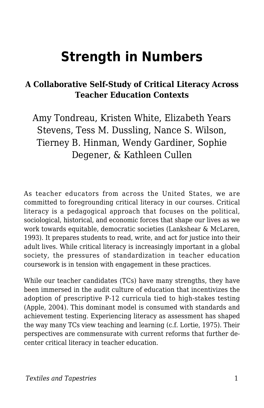# **Strength in Numbers**

## **A Collaborative Self-Study of Critical Literacy Across Teacher Education Contexts**

Amy Tondreau, Kristen White, Elizabeth Years Stevens, Tess M. Dussling, Nance S. Wilson, Tierney B. Hinman, Wendy Gardiner, Sophie Degener, & Kathleen Cullen

As teacher educators from across the United States, we are committed to foregrounding critical literacy in our courses. Critical literacy is a pedagogical approach that focuses on the political, sociological, historical, and economic forces that shape our lives as we work towards equitable, democratic societies (Lankshear & McLaren, 1993). It prepares students to read, write, and act for justice into their adult lives. While critical literacy is increasingly important in a global society, the pressures of standardization in teacher education coursework is in tension with engagement in these practices.

While our teacher candidates (TCs) have many strengths, they have been immersed in the audit culture of education that incentivizes the adoption of prescriptive P-12 curricula tied to high-stakes testing (Apple, 2004). This dominant model is consumed with standards and achievement testing. Experiencing literacy as assessment has shaped the way many TCs view teaching and learning (c.f. Lortie, 1975). Their perspectives are commensurate with current reforms that further decenter critical literacy in teacher education.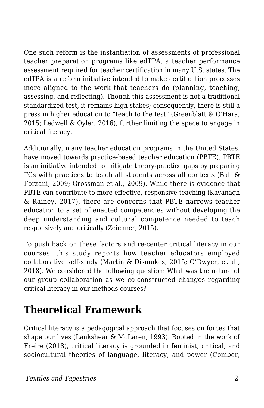One such reform is the instantiation of assessments of professional teacher preparation programs like edTPA, a teacher performance assessment required for teacher certification in many U.S. states. The edTPA is a reform initiative intended to make certification processes more aligned to the work that teachers do (planning, teaching, assessing, and reflecting). Though this assessment is not a traditional standardized test, it remains high stakes; consequently, there is still a press in higher education to "teach to the test" (Greenblatt & O'Hara, 2015; Ledwell & Oyler, 2016), further limiting the space to engage in critical literacy.

Additionally, many teacher education programs in the United States. have moved towards practice-based teacher education (PBTE). PBTE is an initiative intended to mitigate theory-practice gaps by preparing TCs with practices to teach all students across all contexts (Ball & Forzani, 2009; Grossman et al., 2009). While there is evidence that PBTE can contribute to more effective, responsive teaching (Kavanagh & Rainey, 2017), there are concerns that PBTE narrows teacher education to a set of enacted competencies without developing the deep understanding and cultural competence needed to teach responsively and critically (Zeichner, 2015).

To push back on these factors and re-center critical literacy in our courses, this study reports how teacher educators employed collaborative self-study (Martin & Dismukes, 2015; O'Dwyer, et al., 2018). We considered the following question: What was the nature of our group collaboration as we co-constructed changes regarding critical literacy in our methods courses?

## **Theoretical Framework**

Critical literacy is a pedagogical approach that focuses on forces that shape our lives (Lankshear & McLaren, 1993). Rooted in the work of Freire (2018), critical literacy is grounded in feminist, critical, and sociocultural theories of language, literacy, and power (Comber,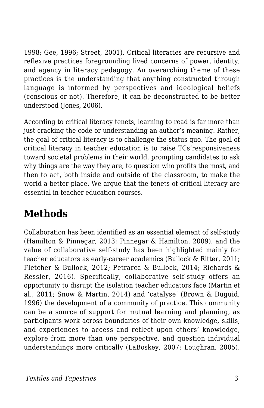1998; Gee, 1996; Street, 2001). Critical literacies are recursive and reflexive practices foregrounding lived concerns of power, identity, and agency in literacy pedagogy. An overarching theme of these practices is the understanding that anything constructed through language is informed by perspectives and ideological beliefs (conscious or not). Therefore, it can be deconstructed to be better understood (Jones, 2006).

According to critical literacy tenets, learning to read is far more than just cracking the code or understanding an author's meaning. Rather, the goal of critical literacy is to challenge the status quo. The goal of critical literacy in teacher education is to raise TCs'responsiveness toward societal problems in their world, prompting candidates to ask why things are the way they are, to question who profits the most, and then to act, both inside and outside of the classroom, to make the world a better place. We argue that the tenets of critical literacy are essential in teacher education courses.

## **Methods**

Collaboration has been identified as an essential element of self-study (Hamilton & Pinnegar, 2013; Pinnegar & Hamilton, 2009), and the value of collaborative self-study has been highlighted mainly for teacher educators as early-career academics (Bullock & Ritter, 2011; Fletcher & Bullock, 2012; Petrarca & Bullock, 2014; Richards & Ressler, 2016). Specifically, collaborative self-study offers an opportunity to disrupt the isolation teacher educators face (Martin et al., 2011; Snow & Martin, 2014) and 'catalyse' (Brown & Duguid, 1996) the development of a community of practice. This community can be a source of support for mutual learning and planning, as participants work across boundaries of their own knowledge, skills, and experiences to access and reflect upon others' knowledge, explore from more than one perspective, and question individual understandings more critically (LaBoskey, 2007; Loughran, 2005).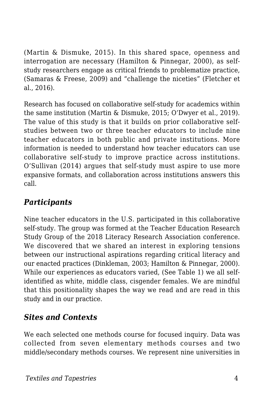(Martin & Dismuke, 2015). In this shared space, openness and interrogation are necessary (Hamilton & Pinnegar, 2000), as selfstudy researchers engage as critical friends to problematize practice, (Samaras & Freese, 2009) and "challenge the niceties" (Fletcher et al., 2016).

Research has focused on collaborative self-study for academics within the same institution (Martin & Dismuke, 2015; O'Dwyer et al., 2019). The value of this study is that it builds on prior collaborative selfstudies between two or three teacher educators to include nine teacher educators in both public and private institutions. More information is needed to understand how teacher educators can use collaborative self-study to improve practice across institutions. O'Sullivan (2014) argues that self-study must aspire to use more expansive formats, and collaboration across institutions answers this call.

## *Participants*

Nine teacher educators in the U.S. participated in this collaborative self-study. The group was formed at the Teacher Education Research Study Group of the 2018 Literacy Research Association conference. We discovered that we shared an interest in exploring tensions between our instructional aspirations regarding critical literacy and our enacted practices (Dinkleman, 2003; Hamilton & Pinnegar, 2000). While our experiences as educators varied, (See Table 1) we all selfidentified as white, middle class, cisgender females. We are mindful that this positionality shapes the way we read and are read in this study and in our practice.

## *Sites and Contexts*

We each selected one methods course for focused inquiry. Data was collected from seven elementary methods courses and two middle/secondary methods courses. We represent nine universities in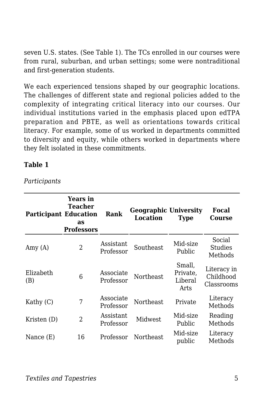seven U.S. states. (See Table 1). The TCs enrolled in our courses were from rural, suburban, and urban settings; some were nontraditional and first-generation students.

We each experienced tensions shaped by our geographic locations. The challenges of different state and regional policies added to the complexity of integrating critical literacy into our courses. Our individual institutions varied in the emphasis placed upon edTPA preparation and PBTE, as well as orientations towards critical literacy. For example, some of us worked in departments committed to diversity and equity, while others worked in departments where they felt isolated in these commitments.

#### **Table 1**

*Participants*

| <b>Participant Education</b> | Years in<br>Teacher<br>as<br><b>Professors</b> | Rank                   | <b>Geographic University</b><br>Location | <b>Type</b>                           | Focal<br>Course                        |
|------------------------------|------------------------------------------------|------------------------|------------------------------------------|---------------------------------------|----------------------------------------|
| Amy (A)                      | 2                                              | Assistant<br>Professor | Southeast                                | Mid-size<br>Public                    | Social<br><b>Studies</b><br>Methods    |
| Elizabeth<br>(B)             | 6                                              | Associate<br>Professor | <b>Northeast</b>                         | Small,<br>Private,<br>Liberal<br>Arts | Literacy in<br>Childhood<br>Classrooms |
| Kathy $(C)$                  | 7                                              | Associate<br>Professor | <b>Northeast</b>                         | Private                               | Literacy<br>Methods                    |
| Kristen (D)                  | 2                                              | Assistant<br>Professor | <b>Midwest</b>                           | Mid-size<br>Public                    | Reading<br>Methods                     |
| Nance (E)                    | 16                                             | Professor              | <b>Northeast</b>                         | Mid-size<br>public                    | Literacy<br>Methods                    |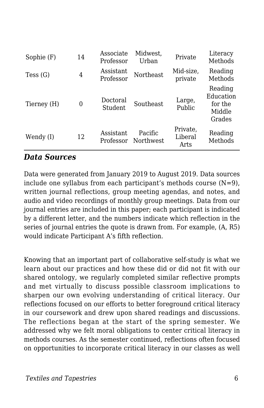| Sophie (F)  | 14 | Associate<br>Professor        | Midwest.<br>Urban    | Private                     | Literacy<br>Methods                                 |
|-------------|----|-------------------------------|----------------------|-----------------------------|-----------------------------------------------------|
| Tess (G)    | 4  | Assistant<br>Professor        | Northeast            | Mid-size,<br>private        | Reading<br>Methods                                  |
| Tierney (H) | 0  | Doctoral<br>Student           | Southeast            | Large,<br>Public            | Reading<br>Education<br>for the<br>Middle<br>Grades |
| Wendy (I)   | 12 | <b>Assistant</b><br>Professor | Pacific<br>Northwest | Private,<br>Liberal<br>Arts | Reading<br>Methods                                  |

#### *Data Sources*

Data were generated from January 2019 to August 2019. Data sources include one syllabus from each participant's methods course  $(N=9)$ , written journal reflections, group meeting agendas, and notes, and audio and video recordings of monthly group meetings. Data from our journal entries are included in this paper; each participant is indicated by a different letter, and the numbers indicate which reflection in the series of journal entries the quote is drawn from. For example, (A, R5) would indicate Participant A's fifth reflection.

Knowing that an important part of collaborative self-study is what we learn about our practices and how these did or did not fit with our shared ontology*,* we regularly completed similar reflective prompts and met virtually to discuss possible classroom implications to sharpen our own evolving understanding of critical literacy. Our reflections focused on our efforts to better foreground critical literacy in our coursework and drew upon shared readings and discussions. The reflections began at the start of the spring semester. We addressed why we felt moral obligations to center critical literacy in methods courses. As the semester continued, reflections often focused on opportunities to incorporate critical literacy in our classes as well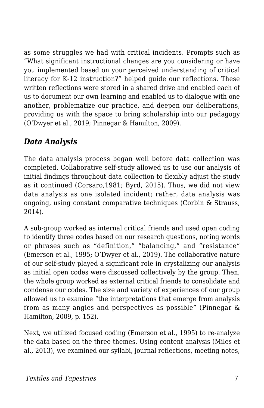as some struggles we had with critical incidents. Prompts such as "What significant instructional changes are you considering or have you implemented based on your perceived understanding of critical literacy for K-12 instruction?" helped guide our reflections. These written reflections were stored in a shared drive and enabled each of us to document our own learning and enabled us to dialogue with one another, problematize our practice, and deepen our deliberations, providing us with the space to bring scholarship into our pedagogy (O'Dwyer et al., 2019; Pinnegar & Hamilton, 2009).

## *Data Analysis*

The data analysis process began well before data collection was completed. Collaborative self-study allowed us to use our analysis of initial findings throughout data collection to flexibly adjust the study as it continued (Corsaro,1981; Byrd, 2015). Thus, we did not view data analysis as one isolated incident; rather, data analysis was ongoing, using constant comparative techniques (Corbin & Strauss, 2014).

A sub-group worked as internal critical friends and used open coding to identify three codes based on our research questions, noting words or phrases such as "definition," "balancing," and "resistance" (Emerson et al., 1995; O'Dwyer et al., 2019). The collaborative nature of our self-study played a significant role in crystalizing our analysis as initial open codes were discussed collectively by the group. Then, the whole group worked as external critical friends to consolidate and condense our codes. The size and variety of experiences of our group allowed us to examine "the interpretations that emerge from analysis from as many angles and perspectives as possible" (Pinnegar & Hamilton, 2009, p. 152).

Next, we utilized focused coding (Emerson et al., 1995) to re-analyze the data based on the three themes. Using content analysis (Miles et al., 2013), we examined our syllabi, journal reflections, meeting notes,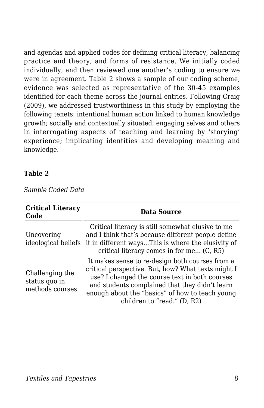and agendas and applied codes for defining critical literacy, balancing practice and theory, and forms of resistance. We initially coded individually, and then reviewed one another's coding to ensure we were in agreement. Table 2 shows a sample of our coding scheme, evidence was selected as representative of the 30-45 examples identified for each theme across the journal entries. Following Craig (2009), we addressed trustworthiness in this study by employing the following tenets: intentional human action linked to human knowledge growth; socially and contextually situated; engaging selves and others in interrogating aspects of teaching and learning by 'storying' experience; implicating identities and developing meaning and knowledge.

#### **Table 2**

*Sample Coded Data*

| <b>Critical Literacy</b><br>Code                    | <b>Data Source</b>                                                                                                                                                                                                                                                                          |
|-----------------------------------------------------|---------------------------------------------------------------------------------------------------------------------------------------------------------------------------------------------------------------------------------------------------------------------------------------------|
| Uncovering                                          | Critical literacy is still somewhat elusive to me<br>and I think that's because different people define<br>ideological beliefs it in different waysThis is where the elusivity of<br>critical literacy comes in for me (C, R5)                                                              |
| Challenging the<br>status quo in<br>methods courses | It makes sense to re-design both courses from a<br>critical perspective. But, how? What texts might I<br>use? I changed the course text in both courses<br>and students complained that they didn't learn<br>enough about the "basics" of how to teach young<br>children to "read." (D, R2) |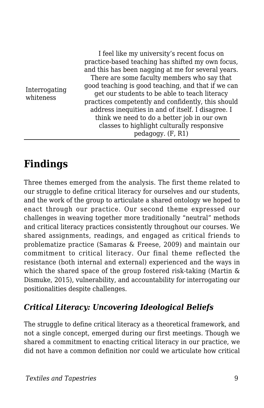| Interrogating<br>whiteness | I feel like my university's recent focus on<br>practice-based teaching has shifted my own focus,<br>and this has been nagging at me for several years.<br>There are some faculty members who say that<br>good teaching is good teaching, and that if we can<br>get our students to be able to teach literacy<br>practices competently and confidently, this should<br>address inequities in and of itself. I disagree. I<br>think we need to do a better job in our own<br>classes to highlight culturally responsive<br>pedagogy. (F, R1) |
|----------------------------|--------------------------------------------------------------------------------------------------------------------------------------------------------------------------------------------------------------------------------------------------------------------------------------------------------------------------------------------------------------------------------------------------------------------------------------------------------------------------------------------------------------------------------------------|
|----------------------------|--------------------------------------------------------------------------------------------------------------------------------------------------------------------------------------------------------------------------------------------------------------------------------------------------------------------------------------------------------------------------------------------------------------------------------------------------------------------------------------------------------------------------------------------|

## **Findings**

Three themes emerged from the analysis. The first theme related to our struggle to define critical literacy for ourselves and our students, and the work of the group to articulate a shared ontology we hoped to enact through our practice. Our second theme expressed our challenges in weaving together more traditionally "neutral" methods and critical literacy practices consistently throughout our courses. We shared assignments, readings, and engaged as critical friends to problematize practice (Samaras & Freese, 2009) and maintain our commitment to critical literacy. Our final theme reflected the resistance (both internal and external) experienced and the ways in which the shared space of the group fostered risk-taking (Martin & Dismuke, 2015), vulnerability, and accountability for interrogating our positionalities despite challenges.

### *Critical Literacy: Uncovering Ideological Beliefs*

The struggle to define critical literacy as a theoretical framework, and not a single concept, emerged during our first meetings. Though we shared a commitment to enacting critical literacy in our practice, we did not have a common definition nor could we articulate how critical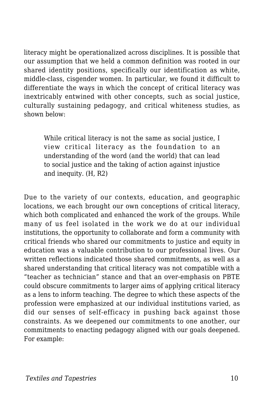literacy might be operationalized across disciplines. It is possible that our assumption that we held a common definition was rooted in our shared identity positions, specifically our identification as white, middle-class, cisgender women. In particular, we found it difficult to differentiate the ways in which the concept of critical literacy was inextricably entwined with other concepts, such as social justice, culturally sustaining pedagogy, and critical whiteness studies, as shown below:

While critical literacy is not the same as social justice, I view critical literacy as the foundation to an understanding of the word (and the world) that can lead to social justice and the taking of action against injustice and inequity. (H, R2)

Due to the variety of our contexts, education, and geographic locations, we each brought our own conceptions of critical literacy, which both complicated and enhanced the work of the groups. While many of us feel isolated in the work we do at our individual institutions, the opportunity to collaborate and form a community with critical friends who shared our commitments to justice and equity in education was a valuable contribution to our professional lives. Our written reflections indicated those shared commitments, as well as a shared understanding that critical literacy was not compatible with a "teacher as technician" stance and that an over-emphasis on PBTE could obscure commitments to larger aims of applying critical literacy as a lens to inform teaching. The degree to which these aspects of the profession were emphasized at our individual institutions varied, as did our senses of self-efficacy in pushing back against those constraints. As we deepened our commitments to one another, our commitments to enacting pedagogy aligned with our goals deepened. For example: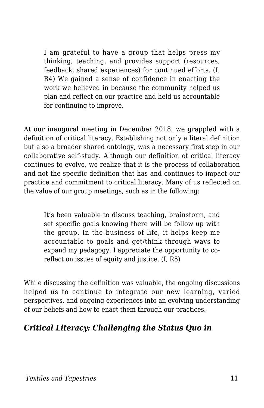I am grateful to have a group that helps press my thinking, teaching, and provides support (resources, feedback, shared experiences) for continued efforts. (I, R4) We gained a sense of confidence in enacting the work we believed in because the community helped us plan and reflect on our practice and held us accountable for continuing to improve.

At our inaugural meeting in December 2018, we grappled with a definition of critical literacy. Establishing not only a literal definition but also a broader shared ontology, was a necessary first step in our collaborative self-study. Although our definition of critical literacy continues to evolve, we realize that it is the process of collaboration and not the specific definition that has and continues to impact our practice and commitment to critical literacy. Many of us reflected on the value of our group meetings, such as in the following:

It's been valuable to discuss teaching, brainstorm, and set specific goals knowing there will be follow up with the group. In the business of life, it helps keep me accountable to goals and get/think through ways to expand my pedagogy. I appreciate the opportunity to coreflect on issues of equity and justice. (I, R5)

While discussing the definition was valuable, the ongoing discussions helped us to continue to integrate our new learning, varied perspectives, and ongoing experiences into an evolving understanding of our beliefs and how to enact them through our practices.

### *Critical Literacy: Challenging the Status Quo in*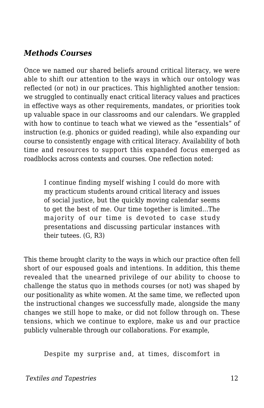### *Methods Courses*

Once we named our shared beliefs around critical literacy, we were able to shift our attention to the ways in which our ontology was reflected (or not) in our practices. This highlighted another tension: we struggled to continually enact critical literacy values and practices in effective ways as other requirements, mandates, or priorities took up valuable space in our classrooms and our calendars. We grappled with how to continue to teach what we viewed as the "essentials" of instruction (e.g. phonics or guided reading), while also expanding our course to consistently engage with critical literacy. Availability of both time and resources to support this expanded focus emerged as roadblocks across contexts and courses. One reflection noted:

I continue finding myself wishing I could do more with my practicum students around critical literacy and issues of social justice, but the quickly moving calendar seems to get the best of me. Our time together is limited...The majority of our time is devoted to case study presentations and discussing particular instances with their tutees. (G, R3)

This theme brought clarity to the ways in which our practice often fell short of our espoused goals and intentions. In addition, this theme revealed that the unearned privilege of our ability to choose to challenge the status quo in methods courses (or not) was shaped by our positionality as white women. At the same time, we reflected upon the instructional changes we successfully made, alongside the many changes we still hope to make, or did not follow through on. These tensions, which we continue to explore, make us and our practice publicly vulnerable through our collaborations. For example,

Despite my surprise and, at times, discomfort in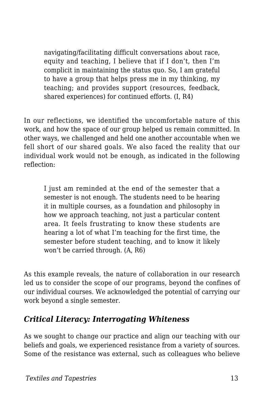navigating/facilitating difficult conversations about race, equity and teaching, I believe that if I don't, then I'm complicit in maintaining the status quo. So, I am grateful to have a group that helps press me in my thinking, my teaching; and provides support (resources, feedback, shared experiences) for continued efforts. (I, R4)

In our reflections, we identified the uncomfortable nature of this work, and how the space of our group helped us remain committed. In other ways, we challenged and held one another accountable when we fell short of our shared goals. We also faced the reality that our individual work would not be enough, as indicated in the following reflection:

I just am reminded at the end of the semester that a semester is not enough. The students need to be hearing it in multiple courses, as a foundation and philosophy in how we approach teaching, not just a particular content area. It feels frustrating to know these students are hearing a lot of what I'm teaching for the first time, the semester before student teaching, and to know it likely won't be carried through. (A, R6)

As this example reveals, the nature of collaboration in our research led us to consider the scope of our programs, beyond the confines of our individual courses. We acknowledged the potential of carrying our work beyond a single semester.

### *Critical Literacy: Interrogating Whiteness*

As we sought to change our practice and align our teaching with our beliefs and goals, we experienced resistance from a variety of sources. Some of the resistance was external, such as colleagues who believe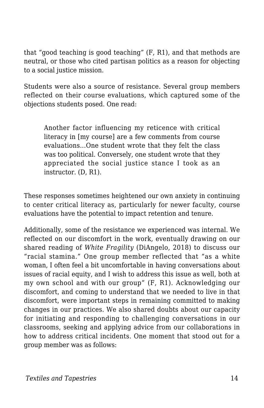that "good teaching is good teaching" (F, R1), and that methods are neutral, or those who cited partisan politics as a reason for objecting to a social justice mission.

Students were also a source of resistance. Several group members reflected on their course evaluations, which captured some of the objections students posed. One read:

Another factor influencing my reticence with critical literacy in [my course] are a few comments from course evaluations...One student wrote that they felt the class was too political. Conversely, one student wrote that they appreciated the social justice stance I took as an instructor. (D, R1).

These responses sometimes heightened our own anxiety in continuing to center critical literacy as, particularly for newer faculty, course evaluations have the potential to impact retention and tenure.

Additionally, some of the resistance we experienced was internal. We reflected on our discomfort in the work, eventually drawing on our shared reading of *White Fragility* (DiAngelo, 2018) to discuss our "racial stamina." One group member reflected that "as a white woman, I often feel a bit uncomfortable in having conversations about issues of racial equity, and I wish to address this issue as well, both at my own school and with our group" (F, R1). Acknowledging our discomfort, and coming to understand that we needed to live in that discomfort, were important steps in remaining committed to making changes in our practices. We also shared doubts about our capacity for initiating and responding to challenging conversations in our classrooms, seeking and applying advice from our collaborations in how to address critical incidents. One moment that stood out for a group member was as follows: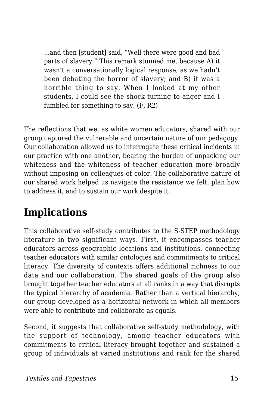...and then [student] said, "Well there were good and bad parts of slavery." This remark stunned me, because A) it wasn't a conversationally logical response, as we hadn't been debating the horror of slavery; and B) it was a horrible thing to say. When I looked at my other students, I could see the shock turning to anger and I fumbled for something to say. (F, R2)

The reflections that we, as white women educators, shared with our group captured the vulnerable and uncertain nature of our pedagogy. Our collaboration allowed us to interrogate these critical incidents in our practice with one another, bearing the burden of unpacking our whiteness and the whiteness of teacher education more broadly without imposing on colleagues of color. The collaborative nature of our shared work helped us navigate the resistance we felt, plan how to address it, and to sustain our work despite it.

## **Implications**

This collaborative self-study contributes to the S-STEP methodology literature in two significant ways. First, it encompasses teacher educators across geographic locations and institutions, connecting teacher educators with similar ontologies and commitments to critical literacy. The diversity of contexts offers additional richness to our data and our collaboration. The shared goals of the group also brought together teacher educators at all ranks in a way that disrupts the typical hierarchy of academia. Rather than a vertical hierarchy, our group developed as a horizontal network in which all members were able to contribute and collaborate as equals.

Second, it suggests that collaborative self-study methodology, with the support of technology, among teacher educators with commitments to critical literacy brought together and sustained a group of individuals at varied institutions and rank for the shared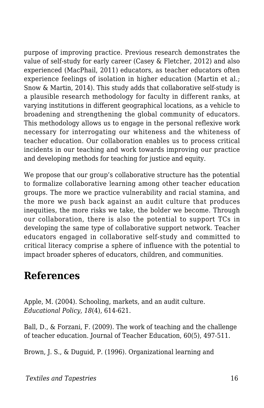purpose of improving practice. Previous research demonstrates the value of self-study for early career (Casey & Fletcher, 2012) and also experienced (MacPhail, 2011) educators, as teacher educators often experience feelings of isolation in higher education (Martin et al.; Snow & Martin, 2014). This study adds that collaborative self-study is a plausible research methodology for faculty in different ranks, at varying institutions in different geographical locations, as a vehicle to broadening and strengthening the global community of educators. This methodology allows us to engage in the personal reflexive work necessary for interrogating our whiteness and the whiteness of teacher education. Our collaboration enables us to process critical incidents in our teaching and work towards improving our practice and developing methods for teaching for justice and equity.

We propose that our group's collaborative structure has the potential to formalize collaborative learning among other teacher education groups. The more we practice vulnerability and racial stamina, and the more we push back against an audit culture that produces inequities, the more risks we take, the bolder we become. Through our collaboration, there is also the potential to support TCs in developing the same type of collaborative support network. Teacher educators engaged in collaborative self-study and committed to critical literacy comprise a sphere of influence with the potential to impact broader spheres of educators, children, and communities.

## **References**

Apple, M. (2004). Schooling, markets, and an audit culture. *Educational Policy, 18*(4), 614-621.

Ball, D., & Forzani, F. (2009). The work of teaching and the challenge of teacher education. Journal of Teacher Education, 60(5), 497-511.

Brown, J. S., & Duguid, P. (1996). Organizational learning and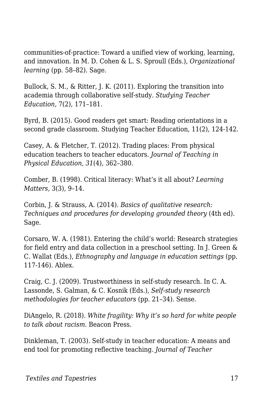communities-of-practice: Toward a unified view of working, learning, and innovation. In M. D. Cohen & L. S. Sproull (Eds.), *Organizational learning* (pp. 58–82). Sage.

Bullock, S. M., & Ritter, J. K. (2011). Exploring the transition into academia through collaborative self-study. *Studying Teacher Education,* 7(2), 171–181.

Byrd, B. (2015). Good readers get smart: Reading orientations in a second grade classroom. Studying Teacher Education, 11(2), 124-142.

Casey, A. & Fletcher, T. (2012). Trading places: From physical education teachers to teacher educators. *Journal of Teaching in Physical Education, 31*(4), 362–380.

Comber, B. (1998). Critical literacy: What's it all about? *Learning Matters,* 3(3), 9–14.

Corbin, J. & Strauss, A. (2014). *Basics of qualitative research: Techniques and procedures for developing grounded theory* (4th ed). Sage.

Corsaro, W. A. (1981). Entering the child's world: Research strategies for field entry and data collection in a preschool setting. In J. Green & C. Wallat (Eds.), *Ethnography and language in education settings* (pp. 117-146). Ablex.

Craig, C. J. (2009). Trustworthiness in self-study research. In C. A. Lassonde, S. Galman, & C. Kosnik (Eds.), *Self-study research methodologies for teacher educators* (pp. 21–34). Sense.

DiAngelo, R. (2018). *White fragility: Why it's so hard for white people to talk about racism.* Beacon Press.

Dinkleman, T. (2003). Self-study in teacher education: A means and end tool for promoting reflective teaching. *Journal of Teacher*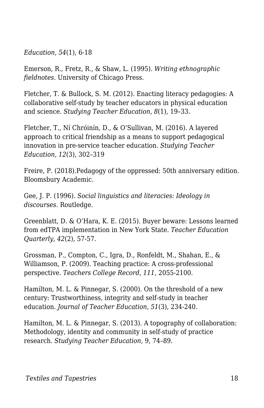*Education, 54*(1), 6-18

Emerson, R., Fretz, R., & Shaw, L. (1995). *Writing ethnographic fieldnotes.* University of Chicago Press.

Fletcher, T. & Bullock, S. M. (2012). Enacting literacy pedagogies: A collaborative self-study by teacher educators in physical education and science. *Studying Teacher Education, 8*(1), 19–33.

Fletcher, T., Ní Chróinín, D., & O'Sullivan, M. (2016). A layered approach to critical friendship as a means to support pedagogical innovation in pre-service teacher education. *Studying Teacher Education, 12*(3), 302–319

Freire, P. (2018).Pedagogy of the oppressed: 50th anniversary edition. Bloomsbury Academic.

Gee, J. P. (1996). *Social linguistics and literacies: Ideology in discourses.* Routledge.

Greenblatt, D. & O'Hara, K. E. (2015). Buyer beware: Lessons learned from edTPA implementation in New York State. *Teacher Education Quarterly, 42*(2), 57-57.

Grossman, P., Compton, C., Igra, D., Ronfeldt, M., Shahan, E., & Williamson, P. (2009). Teaching practice: A cross-professional perspective. *Teachers College Record, 111,* 2055-2100.

Hamilton, M. L. & Pinnegar, S. (2000). On the threshold of a new century: Trustworthiness, integrity and self-study in teacher education. *Journal of Teacher Education, 51*(3), 234-240.

Hamilton, M. L. & Pinnegar, S. (2013). A topography of collaboration: Methodology, identity and community in self-study of practice research. *Studying Teacher Education,* 9, 74–89.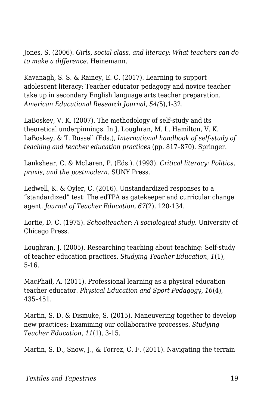Jones, S. (2006). *Girls, social class, and literacy: What teachers can do to make a difference*. Heinemann.

Kavanagh, S. S. & Rainey, E. C. (2017). Learning to support adolescent literacy: Teacher educator pedagogy and novice teacher take up in secondary English language arts teacher preparation. *American Educational Research Journal, 54(*5),1-32.

LaBoskey, V. K. (2007). The methodology of self-study and its theoretical underpinnings. In J. Loughran, M. L. Hamilton, V. K. LaBoskey, & T. Russell (Eds.), *International handbook of self-study of teaching and teacher education practices* (pp. 817–870). Springer.

Lankshear, C. & McLaren, P. (Eds.). (1993). *Critical literacy: Politics, praxis, and the postmodern.* SUNY Press.

Ledwell, K. & Oyler, C. (2016). Unstandardized responses to a "standardized" test: The edTPA as gatekeeper and curricular change agent. *Journal of Teacher Education, 67*(2), 120-134.

Lortie, D. C. (1975). *Schoolteacher: A sociological study.* University of Chicago Press.

Loughran, J. (2005). Researching teaching about teaching: Self-study of teacher education practices. *Studying Teacher Education, 1*(1), 5-16.

MacPhail, A. (2011). Professional learning as a physical education teacher educator. *Physical Education and Sport Pedagogy, 16*(4), 435–451.

Martin, S. D. & Dismuke, S. (2015). Maneuvering together to develop new practices: Examining our collaborative processes. *Studying Teacher Education, 11*(1), 3-15.

Martin, S. D., Snow, J., & Torrez, C. F. (2011). Navigating the terrain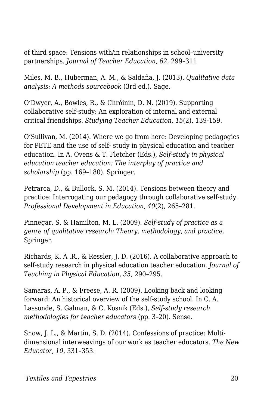of third space: Tensions with/in relationships in school–university partnerships. *Journal of Teacher Education, 62*, 299–311

Miles, M. B., Huberman, A. M., & Saldaña, J. (2013). *Qualitative data analysis: A methods sourcebook* (3rd ed.)*.* Sage.

O'Dwyer, A., Bowles, R., & Chróinin, D. N. (2019). Supporting collaborative self-study: An exploration of internal and external critical friendships. *Studying Teacher Education, 15*(2), 139-159.

O'Sullivan, M. (2014). Where we go from here: Developing pedagogies for PETE and the use of self- study in physical education and teacher education. In A. Ovens & T. Fletcher (Eds.), *Self-study in physical education teacher education: The interplay of practice and scholarship* (pp. 169–180). Springer.

Petrarca, D., & Bullock, S. M. (2014). Tensions between theory and practice: Interrogating our pedagogy through collaborative self-study. *Professional Development in Education, 40*(2), 265–281.

Pinnegar, S. & Hamilton, M. L. (2009). *Self-study of practice as a genre of qualitative research: Theory, methodology, and practice.* Springer.

Richards, K. A .R., & Ressler, J. D. (2016). A collaborative approach to self-study research in physical education teacher education. *Journal of Teaching in Physical Education, 35,* 290–295.

Samaras, A. P., & Freese, A. R. (2009). Looking back and looking forward: An historical overview of the self-study school. In C. A. Lassonde, S. Galman, & C. Kosnik (Eds.), *Self-study research methodologies for teacher educators* (pp. 3–20). Sense.

Snow, J. L., & Martin, S. D. (2014). Confessions of practice: Multidimensional interweavings of our work as teacher educators. *The New Educator, 10*, 331–353.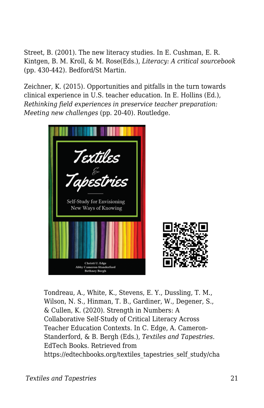Street, B. (2001). The new literacy studies. In E. Cushman, E. R. Kintgen, B. M. Kroll, & M. Rose(Eds.), *Literacy: A critical sourcebook* (pp. 430-442)*.* Bedford/St Martin.

Zeichner, K. (2015). Opportunities and pitfalls in the turn towards clinical experience in U.S. teacher education. In E. Hollins (Ed.), *Rethinking field experiences in preservice teacher preparation: Meeting new challenges* (pp. 20-40). Routledge.



Tondreau, A., White, K., Stevens, E. Y., Dussling, T. M., Wilson, N. S., Hinman, T. B., Gardiner, W., Degener, S., & Cullen, K. (2020). Strength in Numbers: A Collaborative Self-Study of Critical Literacy Across Teacher Education Contexts. In C. Edge, A. Cameron-Standerford, & B. Bergh (Eds.), *Textiles and Tapestries*. EdTech Books. Retrieved from https://edtechbooks.org/textiles\_tapestries\_self\_study/cha